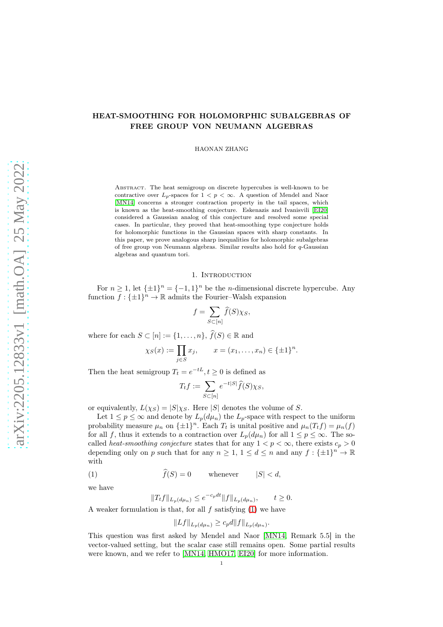# HEAT-SMOOTHING FOR HOLOMORPHIC SUBALGEBRAS OF FREE GROUP VON NEUMANN ALGEBRAS

HAONAN ZHANG

Abstract. The heat semigroup on discrete hypercubes is well-known to be contractive over  $L_p$ -spaces for  $1 < p < \infty$ . A question of Mendel and Naor [\[MN14\]](#page-11-0) concerns a stronger contraction property in the tail spaces, which is known as the heat-smoothing conjecture. Eskenazis and Ivanisvili [\[EI20\]](#page-10-0) considered a Gaussian analog of this conjecture and resolved some special cases. In particular, they proved that heat-smoothing type conjecture holds for holomorphic functions in the Gaussian spaces with sharp constants. In this paper, we prove analogous sharp inequalities for holomorphic subalgebras of free group von Neumann algebras. Similar results also hold for q-Gaussian algebras and quantum tori.

#### 1. Introduction

For  $n \geq 1$ , let  $\{\pm 1\}^n = \{-1, 1\}^n$  be the *n*-dimensional discrete hypercube. Any function  $f: \{\pm 1\}^n \to \mathbb{R}$  admits the Fourier–Walsh expansion

$$
f = \sum_{S \subset [n]} \widehat{f}(S) \chi_S,
$$

where for each  $S \subset [n] := \{1, \ldots, n\}, \hat{f}(S) \in \mathbb{R}$  and

$$
\chi_S(x) := \prod_{j \in S} x_j
$$
,  $x = (x_1, ..., x_n) \in {\{\pm 1\}}^n$ .

Then the heat semigroup  $T_t = e^{-tL}, t \ge 0$  is defined as

$$
T_t f := \sum_{S \subset [n]} e^{-t|S|} \widehat{f}(S) \chi_S,
$$

or equivalently,  $L(\chi_S) = |S|\chi_S$ . Here |S| denotes the volume of S.

Let  $1 \le p \le \infty$  and denote by  $L_p(d\mu_n)$  the  $L_p$ -space with respect to the uniform probability measure  $\mu_n$  on  $\{\pm 1\}^n$ . Each  $T_t$  is unital positive and  $\mu_n(T_t f) = \mu_n(f)$ for all f, thus it extends to a contraction over  $L_p(d\mu_n)$  for all  $1 \leq p \leq \infty$ . The socalled *heat-smoothing conjecture* states that for any  $1 < p < \infty$ , there exists  $c_p > 0$ depending only on p such that for any  $n \geq 1$ ,  $1 \leq d \leq n$  and any  $f: {\pm 1}^n \to \mathbb{R}$ with

(1) 
$$
\hat{f}(S) = 0
$$
 whenever  $|S| < d$ ,

we have

<span id="page-0-0"></span>
$$
||T_t f||_{L_p(d\mu_n)} \le e^{-c_p dt} ||f||_{L_p(d\mu_n)}, \qquad t \ge 0.
$$

A weaker formulation is that, for all  $f$  satisfying  $(1)$  we have

$$
||Lf||_{L_p(d\mu_n)} \geq c_p d||f||_{L_p(d\mu_n)}.
$$

This question was first asked by Mendel and Naor [\[MN14,](#page-11-0) Remark 5.5] in the vector-valued setting, but the scalar case still remains open. Some partial results were known, and we refer to [\[MN14,](#page-11-0) [HMO17,](#page-10-1) [EI20\]](#page-10-0) for more information.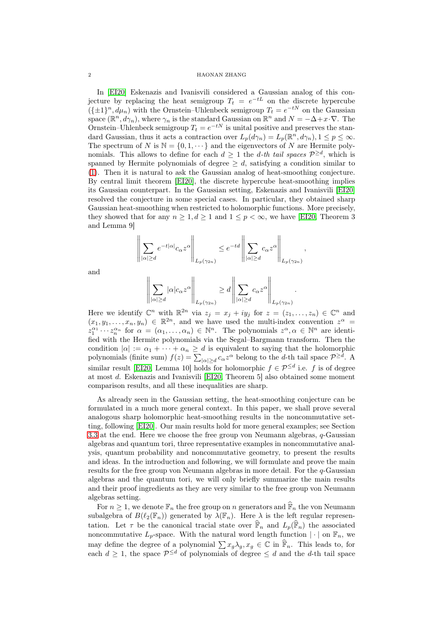#### 2 HAONAN ZHANG

In [\[EI20\]](#page-10-0) Eskenazis and Ivanisvili considered a Gaussian analog of this conjecture by replacing the heat semigroup  $T_t = e^{-tL}$  on the discrete hypercube  $({\{\pm 1\}}^n, d\mu_n)$  with the Ornstein–Uhlenbeck semigroup  $T_t = e^{-tN}$  on the Gaussian space  $(\mathbb{R}^n, d\gamma_n)$ , where  $\gamma_n$  is the standard Gaussian on  $\mathbb{R}^n$  and  $N = -\Delta + x \cdot \nabla$ . The Ornstein–Uhlenbeck semigroup  $T_t = e^{-tN}$  is unital positive and preserves the standard Gaussian, thus it acts a contraction over  $L_p(d\gamma_n) = L_p(\mathbb{R}^n, d\gamma_n)$ ,  $1 \leq p \leq \infty$ . The spectrum of N is  $\mathbb{N} = \{0, 1, \dots\}$  and the eigenvectors of N are Hermite polynomials. This allows to define for each  $d \geq 1$  the *d*-th tail spaces  $\mathcal{P}^{\geq d}$ , which is spanned by Hermite polynomials of degree  $\geq d$ , satisfying a condition similar to [\(1\)](#page-0-0). Then it is natural to ask the Gaussian analog of heat-smoothing conjecture. By central limit theorem [\[EI20\]](#page-10-0), the discrete hypercube heat-smoothing implies its Gaussian counterpart. In the Gaussian setting, Eskenazis and Ivanisvili [\[EI20\]](#page-10-0) resolved the conjecture in some special cases. In particular, they obtained sharp Gaussian heat-smoothing when restricted to holomorphic functions. More precisely, they showed that for any  $n \geq 1, d \geq 1$  and  $1 \leq p < \infty$ , we have [\[EI20,](#page-10-0) Theorem 3 and Lemma 9]

$$
\left\|\sum_{|\alpha|\geq d}e^{-t|\alpha|}c_\alpha z^\alpha\right\|_{L_p(\gamma_{2n})}\leq e^{-td}\left\|\sum_{|\alpha|\geq d}c_\alpha z^\alpha\right\|_{L_p(\gamma_{2n})}
$$

 $\overline{11}$ 

,

and

$$
\left\| \sum_{|\alpha| \ge d} |\alpha| c_{\alpha} z^{\alpha} \right\|_{L_p(\gamma_{2n})} \ge d \left\| \sum_{|\alpha| \ge d} c_{\alpha} z^{\alpha} \right\|_{L_p(\gamma_{2n})}.
$$

Here we identify  $\mathbb{C}^n$  with  $\mathbb{R}^{2n}$  via  $z_j = x_j + iy_j$  for  $z = (z_1, \ldots, z_n) \in \mathbb{C}^n$  and  $(x_1, y_1, \ldots, x_n, y_n) \in \mathbb{R}^{2n}$ , and we have used the multi-index convention  $z^{\alpha} =$  $z_1^{\alpha_1} \cdots z_n^{\alpha_n}$  for  $\alpha = (\alpha_1, \ldots, \alpha_n) \in \mathbb{N}^n$ . The polynomials  $z^{\alpha}, \alpha \in \mathbb{N}^n$  are identified with the Hermite polynomials via the Segal–Bargmann transform. Then the condition  $|\alpha| := \alpha_1 + \cdots + \alpha_n \geq d$  is equivalent to saying that the holomorphic polynomials (finite sum)  $f(z) = \sum_{|\alpha| \ge d} c_{\alpha} z^{\alpha}$  belong to the d-th tail space  $\mathcal{P}^{\ge d}$ . A similar result [\[EI20,](#page-10-0) Lemma 10] holds for holomorphic  $f \in \mathcal{P}^{\leq d}$  i.e. f is of degree at most d. Eskenazis and Ivanisvili [\[EI20,](#page-10-0) Theorem 5] also obtained some moment comparison results, and all these inequalities are sharp.

As already seen in the Gaussian setting, the heat-smoothing conjecture can be formulated in a much more general context. In this paper, we shall prove several analogous sharp holomorphic heat-smoothing results in the noncommutative setting, following [\[EI20\]](#page-10-0). Our main results hold for more general examples; see Section [3.3](#page-10-2) at the end. Here we choose the free group von Neumann algebras,  $q$ -Gaussian algebras and quantum tori, three representative examples in noncommutative analysis, quantum probability and noncommutative geometry, to present the results and ideas. In the introduction and following, we will formulate and prove the main results for the free group von Neumann algebras in more detail. For the  $q$ -Gaussian algebras and the quantum tori, we will only briefly summarize the main results and their proof ingredients as they are very similar to the free group von Neumann algebras setting.

For  $n \geq 1$ , we denote  $\mathbb{F}_n$  the free group on n generators and  $\widehat{\mathbb{F}}_n$  the von Neumann subalgebra of  $B(\ell_2(\mathbb{F}_n))$  generated by  $\lambda(\mathbb{F}_n)$ . Here  $\lambda$  is the left regular representation. Let  $\tau$  be the canonical tracial state over  $\widehat{\mathbb{F}}_n$  and  $L_p(\widehat{\mathbb{F}}_n)$  the associated noncommutative  $L_p$ -space. With the natural word length function  $|\cdot|$  on  $\mathbb{F}_n$ , we may define the degree of a polynomial  $\sum x_g \lambda_g$ ,  $x_g \in \mathbb{C}$  in  $\widehat{\mathbb{F}}_n$ . This leads to, for each  $d \geq 1$ , the space  $\mathcal{P}^{\leq d}$  of polynomials of degree  $\leq d$  and the d-th tail space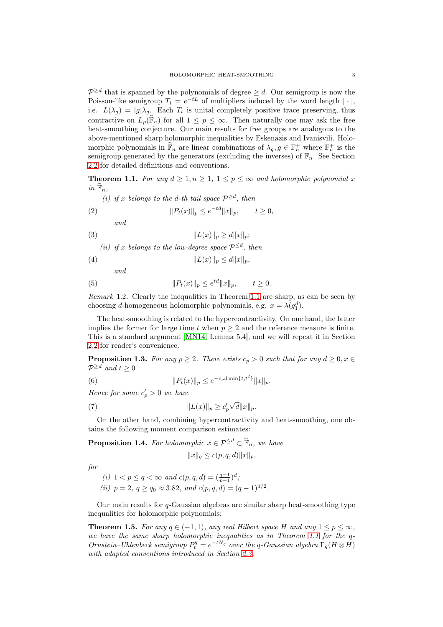$\mathcal{P}^{\geq d}$  that is spanned by the polynomials of degree  $\geq d$ . Our semigroup is now the Poisson-like semigroup  $T_t = e^{-tL}$  of multipliers induced by the word length  $|\cdot|$ , i.e.  $L(\lambda_q) = |g|\lambda_q$ . Each  $T_t$  is unital completely positive trace preserving, thus contractive on  $L_p(\hat{\mathbb{F}}_n)$  for all  $1 \leq p \leq \infty$ . Then naturally one may ask the free heat-smoothing conjecture. Our main results for free groups are analogous to the above-mentioned sharp holomorphic inequalities by Eskenazis and Ivanisvili. Holomorphic polynomials in  $\widehat{\mathbb{F}}_n$  are linear combinations of  $\lambda_g, g \in \mathbb{F}_n^+$  where  $\mathbb{F}_n^+$  is the semigroup generated by the generators (excluding the inverses) of  $\mathbb{F}_n$ . See Section [2.2](#page-3-0) for detailed definitions and conventions.

<span id="page-2-0"></span>**Theorem 1.1.** For any  $d \geq 1, n \geq 1, 1 \leq p \leq \infty$  and holomorphic polynomial x in  $\widehat{\mathbb{F}}_n$ ,

(i) if x belongs to the d-th tail space  $\mathcal{P}^{\geq d}$ , then

(2) 
$$
||P_t(x)||_p \le e^{-td}||x||_p, \qquad t \ge 0,
$$

<span id="page-2-6"></span><span id="page-2-5"></span>and

(3) 
$$
||L(x)||_p \ge d||x||_p;
$$

(ii) if x belongs to the low-degree space  $\mathcal{P}^{\leq d}$ , then

(4)  $||L(x)||_p \le d||x||_p,$ 

<span id="page-2-8"></span><span id="page-2-7"></span>and

(5) 
$$
||P_t(x)||_p \le e^{td} ||x||_p, \qquad t \ge 0.
$$

Remark 1.2. Clearly the inequalities in Theorem [1.1](#page-2-0) are sharp, as can be seen by choosing *d*-homogeneous holomorphic polynomials, e.g.  $x = \lambda(g_1^d)$ .

The heat-smoothing is related to the hypercontractivity. On one hand, the latter implies the former for large time t when  $p \geq 2$  and the reference measure is finite. This is a standard argument [\[MN14,](#page-11-0) Lemma 5.4], and we will repeat it in Section [2.2](#page-3-0) for reader's convenience.

<span id="page-2-2"></span>**Proposition 1.3.** For any  $p \ge 2$ . There exists  $c_p > 0$  such that for any  $d \ge 0, x \in$  $\mathcal{P}^{\geq d}$  and  $t \geq 0$ 

(6) 
$$
||P_t(x)||_p \leq e^{-c_p d \min\{t, t^2\}} ||x||_p.
$$

Hence for some  $c'_p > 0$  we have

(7) 
$$
||L(x)||_p \ge c_p' \sqrt{d} ||x||_p.
$$

On the other hand, combining hypercontractivity and heat-smoothing, one obtains the following moment comparison estimates:

<span id="page-2-1"></span>**Proposition 1.4.** For holomorphic  $x \in \mathcal{P}^{\leq d} \subset \hat{\mathbb{F}}_n$ , we have

<span id="page-2-4"></span><span id="page-2-3"></span> $||x||_q \leq c(p, q, d) ||x||_p,$ 

for

(i) 
$$
1 < p \le q < \infty
$$
 and  $c(p, q, d) = \left(\frac{q-1}{p-1}\right)^d$ ;  
(ii)  $p = 2$ ,  $q \ge q_0 \approx 3.82$ , and  $c(p, q, d) = (q-1)^{d/2}$ .

Our main results for  $q$ -Gaussian algebras are similar sharp heat-smoothing type inequalities for holomorphic polynomials:

<span id="page-2-9"></span>**Theorem 1.5.** For any  $q \in (-1, 1)$ , any real Hilbert space H and any  $1 \leq p \leq \infty$ , we have the same sharp holomorphic inequalities as in Theorem [1.1](#page-2-0) for the q-Ornstein–Uhlenbeck semigroup  $P_t^q = e^{-tN_q}$  over the q-Gaussian algebra  $\Gamma_q(H \otimes H)$ with adapted conventions introduced in Section [2.3.](#page-5-0)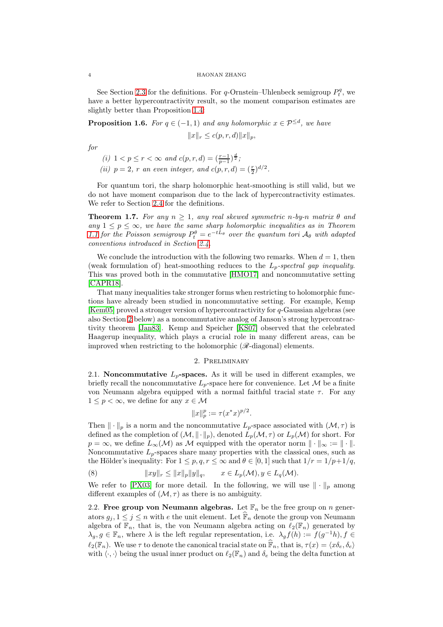#### 4 HAONAN ZHANG

See Section [2.3](#page-5-0) for the definitions. For q-Ornstein–Uhlenbeck semigroup  $P_t^q$ , we have a better hypercontractivity result, so the moment comparison estimates are slightly better than Proposition [1.4:](#page-2-1)

<span id="page-3-4"></span>**Proposition 1.6.** For  $q \in (-1,1)$  and any holomorphic  $x \in \mathcal{P}^{\leq d}$ , we have

$$
||x||_r \le c(p,r,d)||x||_p,
$$

for

- (i)  $1 < p \le r < \infty$  and  $c(p, r, d) = (\frac{r-1}{p-1})^{\frac{d}{2}};$
- (ii)  $p = 2$ , r an even integer, and  $c(p, r, d) = (\frac{r}{2})^{d/2}$ .

For quantum tori, the sharp holomorphic heat-smoothing is still valid, but we do not have moment comparison due to the lack of hypercontractivity estimates. We refer to Section [2.4](#page-7-0) for the definitions.

<span id="page-3-3"></span>**Theorem 1.7.** For any  $n \geq 1$ , any real skewed symmetric n-by-n matrix  $\theta$  and any  $1 \leq p \leq \infty$ , we have the same sharp holomorphic inequalities as in Theorem [1.1](#page-2-0) for the Poisson semigroup  $P_t^{\theta} = e^{-tL_{\theta}}$  over the quantum tori  $\mathcal{A}_{\theta}$  with adapted conventions introduced in Section [2.4.](#page-7-0)

We conclude the introduction with the following two remarks. When  $d = 1$ , then (weak formulation of) heat-smoothing reduces to the  $L_p$ -spectral gap inequality. This was proved both in the commutative [\[HMO17\]](#page-10-1) and noncommutative setting [\[CAPR18\]](#page-10-3).

That many inequalities take stronger forms when restricting to holomorphic functions have already been studied in noncommutative setting. For example, Kemp [\[Kem05\]](#page-10-4) proved a stronger version of hypercontractivity for q-Gaussian algebras (see also Section [2](#page-3-1) below) as a noncommutative analog of Janson's strong hypercontractivity theorem [\[Jan83\]](#page-10-5). Kemp and Speicher [\[KS07\]](#page-10-6) observed that the celebrated Haagerup inequality, which plays a crucial role in many different areas, can be improved when restricting to the holomorphic  $(\mathscr{R}-\text{diagonal})$  elements.

### 2. Preliminary

<span id="page-3-1"></span>2.1. Noncommutative  $L_p$ -spaces. As it will be used in different examples, we briefly recall the noncommutative  $L_p$ -space here for convenience. Let  $\mathcal M$  be a finite von Neumann algebra equipped with a normal faithful tracial state  $\tau$ . For any  $1 \leq p < \infty$ , we define for any  $x \in \mathcal{M}$ 

$$
||x||_p^p := \tau(x^*x)^{p/2}.
$$

Then  $\|\cdot\|_p$  is a norm and the noncommutative  $L_p$ -space associated with  $(\mathcal{M}, \tau)$  is defined as the completion of  $(M, \|\cdot\|_p)$ , denoted  $L_p(\mathcal{M}, \tau)$  or  $L_p(\mathcal{M})$  for short. For  $p = \infty$ , we define  $L_{\infty}(\mathcal{M})$  as M equipped with the operator norm  $\|\cdot\|_{\infty} := \|\cdot\|.$ Noncommutative  $L_p$ -spaces share many properties with the classical ones, such as the Hölder's inequality: For  $1 \leq p, q, r \leq \infty$  and  $\theta \in [0, 1]$  such that  $1/r = 1/p+1/q$ ,

<span id="page-3-2"></span>(8) 
$$
||xy||_r \le ||x||_p ||y||_q, \qquad x \in L_p(\mathcal{M}), y \in L_q(\mathcal{M}).
$$

We refer to [\[PX03\]](#page-11-1) for more detail. In the following, we will use  $\|\cdot\|_p$  among different examples of  $(M, \tau)$  as there is no ambiguity.

<span id="page-3-0"></span>2.2. Free group von Neumann algebras. Let  $\mathbb{F}_n$  be the free group on n generators  $g_j, 1 \leq j \leq n$  with e the unit element. Let  $\widehat{\mathbb{F}}_n$  denote the group von Neumann algebra of  $\mathbb{F}_n$ , that is, the von Neumann algebra acting on  $\ell_2(\mathbb{F}_n)$  generated by  $\lambda_g$ ,  $g \in \mathbb{F}_n$ , where  $\lambda$  is the left regular representation, i.e.  $\lambda_g f(h) := f(g^{-1}h)$ ,  $f \in$  $\ell_2(\mathbb{F}_n)$ . We use  $\tau$  to denote the canonical tracial state on  $\widehat{\mathbb{F}}_n$ , that is,  $\tau(x) = \langle x \delta_e, \delta_e \rangle$ with  $\langle \cdot, \cdot \rangle$  being the usual inner product on  $\ell_2(\mathbb{F}_n)$  and  $\delta_e$  being the delta function at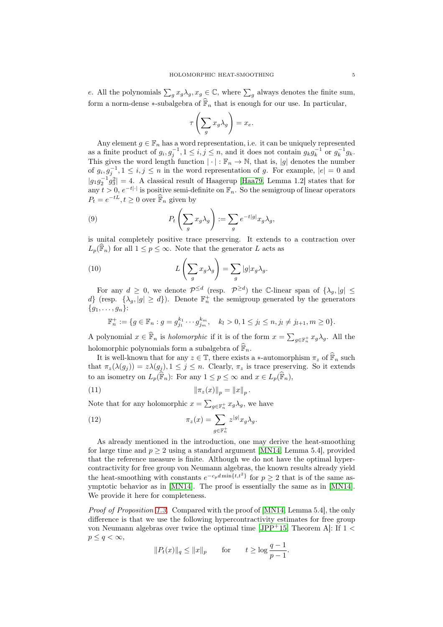e. All the polynomials  $\sum_g x_g \lambda_g$ ,  $x_g \in \mathbb{C}$ , where  $\sum_g$  always denotes the finite sum, form a norm-dense ∗-subalgebra of  $\widehat{\mathbb{F}}_n$  that is enough for our use. In particular,

$$
\tau\left(\sum_g x_g \lambda_g\right) = x_e.
$$

Any element  $g \in \mathbb{F}_n$  has a word representation, i.e. it can be uniquely represented as a finite product of  $g_i, g_j^{-1}, 1 \le i, j \le n$ , and it does not contain  $g_k g_k^{-1}$  or  $g_k^{-1} g_k$ . This gives the word length function  $|\cdot| : \mathbb{F}_n \to \mathbb{N}$ , that is, |g| denotes the number of  $g_i, g_j^{-1}, 1 \le i, j \le n$  in the word representation of g. For example,  $|e| = 0$  and  $|g_1g_2^{-1}g_3^2|=4$ . A classical result of Haagerup [\[Haa79,](#page-10-7) Lemma 1.2] states that for any  $t > 0$ ,  $e^{-t|\cdot|}$  is positive semi-definite on  $\mathbb{F}_n$ . So the semigroup of linear operators  $P_t = e^{-tL}, t \ge 0$  over  $\widehat{\mathbb{F}}_n$  given by

<span id="page-4-1"></span>(9) 
$$
P_t\left(\sum_g x_g \lambda_g\right) := \sum_g e^{-t|g|} x_g \lambda_g,
$$

is unital completely positive trace preserving. It extends to a contraction over  $L_p(\mathbb{F}_n)$  for all  $1 \leq p \leq \infty$ . Note that the generator L acts as

(10) 
$$
L\left(\sum_{g} x_g \lambda_g\right) = \sum_{g} |g| x_g \lambda_g.
$$

For any  $d \geq 0$ , we denote  $\mathcal{P}^{\leq d}$  (resp.  $\mathcal{P}^{\geq d}$ ) the C-linear span of  $\{\lambda_g, |g| \leq \ell\}$ d} (resp.  $\{\lambda_g, |g| \geq d\}$ ). Denote  $\mathbb{F}_n^+$  the semigroup generated by the generators  ${g_1, \ldots, g_n}$ :

<span id="page-4-3"></span> $\mathbb{F}_n^+ := \{ g \in \mathbb{F}_n : g = g_{j_1}^{k_1} \cdots g_{j_m}^{k_m}, \quad k_l > 0, 1 \le j_l \le n, j_l \ne j_{l+1}, m \ge 0 \}.$ 

A polynomial  $x \in \hat{\mathbb{F}}_n$  is *holomorphic* if it is of the form  $x = \sum_{g \in \mathbb{F}_n^+} x_g \lambda_g$ . All the holomorphic polynomials form a subalgebra of  $\widehat{\mathbb{F}}_n$ .

It is well-known that for any  $z \in \mathbb{T}$ , there exists a ∗-automorphism  $\pi_z$  of  $\widehat{\mathbb{F}}_n$  such that  $\pi_z(\lambda(g_i)) = z\lambda(g_i), 1 \leq j \leq n$ . Clearly,  $\pi_z$  is trace preserving. So it extends to an isometry on  $L_p(\widehat{\mathbb{F}}_n)$ : For any  $1 \leq p \leq \infty$  and  $x \in L_p(\widehat{\mathbb{F}}_n)$ ,

<span id="page-4-0"></span>(11) 
$$
\|\pi_z(x)\|_p = \|x\|_p.
$$

Note that for any holomorphic  $x = \sum_{g \in \mathbb{F}_n^+} x_g \lambda_g$ , we have

<span id="page-4-2"></span>(12) 
$$
\pi_z(x) = \sum_{g \in \mathbb{F}_n^+} z^{|g|} x_g \lambda_g.
$$

As already mentioned in the introduction, one may derive the heat-smoothing for large time and  $p \geq 2$  using a standard argument [\[MN14,](#page-11-0) Lemma 5.4], provided that the reference measure is finite. Although we do not have the optimal hypercontractivity for free group von Neumann algebras, the known results already yield the heat-smoothing with constants  $e^{-c_p d \min\{t,t^2\}}$  for  $p \geq 2$  that is of the same asymptotic behavior as in [\[MN14\]](#page-11-0). The proof is essentially the same as in [\[MN14\]](#page-11-0). We provide it here for completeness.

Proof of Proposition [1.3.](#page-2-2) Compared with the proof of [\[MN14,](#page-11-0) Lemma 5.4], the only difference is that we use the following hypercontractivity estimates for free group von Neumann algebras over twice the optimal time [\[JPP](#page-10-8)+15, Theorem A]: If  $1 \le$  $p \leq q < \infty$ ,

$$
||P_t(x)||_q \le ||x||_p
$$
 for  $t \ge \log \frac{q-1}{p-1}$ .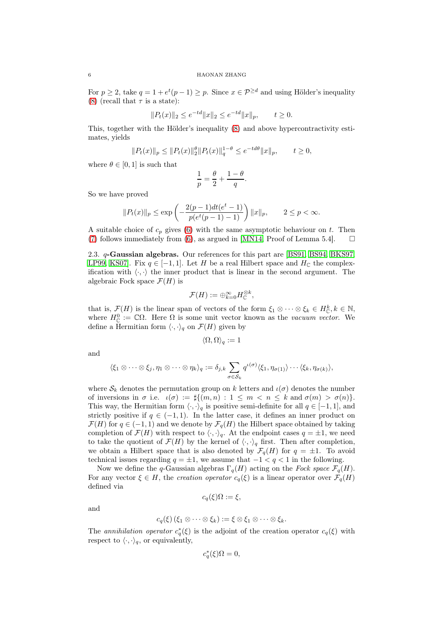For  $p \ge 2$ , take  $q = 1 + e^t(p-1) \ge p$ . Since  $x \in \mathcal{P}^{\ge d}$  and using Hölder's inequality [\(8\)](#page-3-2) (recall that  $\tau$  is a state):

$$
||P_t(x)||_2 \le e^{-td} ||x||_2 \le e^{-td} ||x||_p, \qquad t \ge 0.
$$

This, together with the Hölder's inequality [\(8\)](#page-3-2) and above hypercontractivity estimates, yields

$$
||P_t(x)||_p \le ||P_t(x)||_2^{\theta} ||P_t(x)||_q^{1-\theta} \le e^{-td\theta} ||x||_p, \qquad t \ge 0,
$$

where  $\theta \in [0, 1]$  is such that

$$
\frac{1}{p} = \frac{\theta}{2} + \frac{1-\theta}{q}.
$$

So we have proved

$$
||P_t(x)||_p \le \exp\left(-\frac{2(p-1)dt(e^t - 1)}{p(e^t(p-1) - 1)}\right)||x||_p, \qquad 2 \le p < \infty.
$$

A suitable choice of  $c_p$  gives [\(6\)](#page-2-3) with the same asymptotic behaviour on t. Then [\(7\)](#page-2-4) follows immediately from [\(6\)](#page-2-3), as argued in [\[MN14,](#page-11-0) Proof of Lemma 5.4].  $\square$ 

<span id="page-5-0"></span>2.3. q-Gaussian algebras. Our references for this part are [\[BS91,](#page-10-9) [BS94,](#page-10-10) [BKS97,](#page-10-11) [LP99,](#page-10-12) KS07. Fix  $q \in [-1, 1]$ . Let H be a real Hilbert space and  $H_{\mathbb{C}}$  the complexification with  $\langle \cdot, \cdot \rangle$  the inner product that is linear in the second argument. The algebraic Fock space  $\mathcal{F}(H)$  is

$$
\mathcal{F}(H) := \oplus_{k=0}^{\infty} H_{\mathbb{C}}^{\otimes k},
$$

that is,  $\mathcal{F}(H)$  is the linear span of vectors of the form  $\xi_1 \otimes \cdots \otimes \xi_k \in H^k_{\mathbb{C}}, k \in \mathbb{N},$ where  $H_{\mathbb{C}}^{0} := \mathbb{C}\Omega$ . Here  $\Omega$  is some unit vector known as the *vacuum vector*. We define a Hermitian form  $\langle \cdot, \cdot \rangle_q$  on  $\mathcal{F}(H)$  given by

$$
\langle \Omega, \Omega \rangle_q := 1
$$

and

$$
\langle \xi_1 \otimes \cdots \otimes \xi_j, \eta_1 \otimes \cdots \otimes \eta_k \rangle_q := \delta_{j,k} \sum_{\sigma \in S_k} q^{\iota(\sigma)} \langle \xi_1, \eta_{\sigma(1)} \rangle \cdots \langle \xi_k, \eta_{\sigma(k)} \rangle,
$$

where  $S_k$  denotes the permutation group on k letters and  $\iota(\sigma)$  denotes the number of inversions in  $\sigma$  i.e.  $\iota(\sigma) := \sharp \{(m, n) : 1 \leq m < n \leq k \text{ and } \sigma(m) > \sigma(n) \}.$ This way, the Hermitian form  $\langle \cdot, \cdot \rangle_q$  is positive semi-definite for all  $q \in [-1, 1]$ , and strictly positive if  $q \in (-1, 1)$ . In the latter case, it defines an inner product on  $\mathcal{F}(H)$  for  $q \in (-1,1)$  and we denote by  $\mathcal{F}_q(H)$  the Hilbert space obtained by taking completion of  $\mathcal{F}(H)$  with respect to  $\langle \cdot, \cdot \rangle_q$ . At the endpoint cases  $q = \pm 1$ , we need to take the quotient of  $\mathcal{F}(H)$  by the kernel of  $\langle \cdot, \cdot \rangle_q$  first. Then after completion, we obtain a Hilbert space that is also denoted by  $\mathcal{F}_q(H)$  for  $q = \pm 1$ . To avoid technical issues regarding  $q = \pm 1$ , we assume that  $-1 < q < 1$  in the following.

Now we define the q-Gaussian algebras  $\Gamma_q(H)$  acting on the Fock space  $\mathcal{F}_q(H)$ . For any vector  $\xi \in H$ , the creation operator  $c_q(\xi)$  is a linear operator over  $\mathcal{F}_q(H)$ defined via

$$
c_q(\xi)\Omega := \xi,
$$

and

$$
c_q(\xi)(\xi_1\otimes\cdots\otimes\xi_k):=\xi\otimes\xi_1\otimes\cdots\otimes\xi_k.
$$

The annihilation operator  $c_q^*(\xi)$  is the adjoint of the creation operator  $c_q(\xi)$  with respect to  $\langle \cdot, \cdot \rangle_q$ , or equivalently,

$$
c_q^*(\xi)\Omega = 0,
$$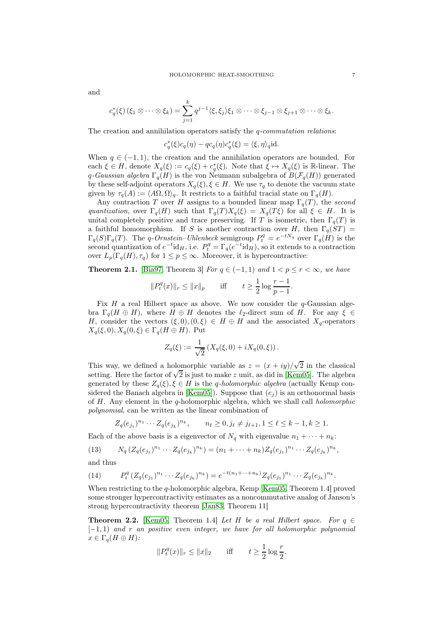and

$$
c_q^*(\xi)(\xi_1\otimes\cdots\otimes\xi_k)=\sum_{j=1}^k q^{j-1}\langle\xi,\xi_j\rangle\xi_1\otimes\cdots\otimes\xi_{j-1}\otimes\xi_{j+1}\otimes\cdots\otimes\xi_k.
$$

The creation and annihilation operators satisfy the  $q$ -commutation relations:

$$
c_q^*(\xi)c_q(\eta) - qc_q(\eta)c_q^*(\xi) = \langle \xi, \eta \rangle_q \text{id}.
$$

When  $q \in (-1,1)$ , the creation and the annihilation operators are bounded. For each  $\xi \in H$ , denote  $X_q(\xi) := c_q(\xi) + c_q^*(\xi)$ . Note that  $\xi \mapsto X_q(\xi)$  is R-linear. The q-Gaussian algebra  $\Gamma_q(H)$  is the von Neumann subalgebra of  $B(\mathcal{F}_q(H))$  generated by these self-adjoint operators  $X_q(\xi), \xi \in H$ . We use  $\tau_q$  to denote the vacuum state given by  $\tau_q(A) := \langle A\Omega, \Omega \rangle_q$ . It restricts to a faithful tracial state on  $\Gamma_q(H)$ .

Any contraction T over H assigns to a bounded linear map  $\Gamma_q(T)$ , the second quantization, over  $\Gamma_q(H)$  such that  $\Gamma_q(T)X_q(\xi) = X_q(T\xi)$  for all  $\xi \in H$ . It is unital completely positive and trace preserving. If T is isometric, then  $\Gamma_q(T)$  is a faithful homomorphism. If S is another contraction over H, then  $\Gamma_q(ST)$  =  $\Gamma_q(S)\Gamma_q(T)$ . The q-Ornstein–Uhlenbeck semigroup  $P_t^q = e^{-tN_q}$  over  $\Gamma_q(H)$  is the second quantization of  $e^{-t}$ id<sub>H</sub>, i.e.  $P_t^q = \Gamma_q(e^{-t}$ id<sub>H</sub>), so it extends to a contraction over  $L_p(\Gamma_q(H), \tau_q)$  for  $1 \leq p \leq \infty$ . Moreover, it is hypercontractive:

<span id="page-6-0"></span>**Theorem 2.1.** [\[Bia97,](#page-10-13) Theorem 3] For  $q \in (-1, 1)$  and  $1 < p \le r \le \infty$ , we have

$$
||P_t^q(x)||_r \le ||x||_p
$$
 iff  $t \ge \frac{1}{2} \log \frac{r-1}{p-1}$ .

Fix  $H$  a real Hilbert space as above. We now consider the  $q$ -Gaussian algebra  $\Gamma_q(H \oplus H)$ , where  $H \oplus H$  denotes the  $\ell_2$ -direct sum of H. For any  $\xi \in$ H, consider the vectors  $(\xi, 0), (0, \xi) \in H \oplus H$  and the associated  $X_q$ -operators  $X_q(\xi, 0), X_q(0, \xi) \in \Gamma_q(H \oplus H)$ . Put

$$
Z_q(\xi) := \frac{1}{\sqrt{2}} \left( X_q(\xi, 0) + i X_q(0, \xi) \right).
$$

This way, we defined a holomorphic variable as  $z = (x + iy)/\sqrt{2}$  in the classical setting. Here the factor of  $\sqrt{2}$  is just to make z unit, as did in [\[Kem05\]](#page-10-4). The algebra generated by these  $Z_q(\xi), \xi \in H$  is the q-holomorphic algebra (actually Kemp con-sidered the Banach algebra in [\[Kem05\]](#page-10-4)). Suppose that  $(e_i)$  is an orthonormal basis of H. Any element in the q-holomorphic algebra, which we shall call holomorphic polynomial, can be written as the linear combination of

<span id="page-6-2"></span>
$$
Z_q(e_{j_1})^{n_1} \cdots Z_q(e_{j_k})^{n_k}, \qquad n_\ell \ge 0, j_\ell \ne j_{\ell+1}, 1 \le \ell \le k-1, k \ge 1.
$$

Each of the above basis is a eigenvector of  $N_q$  with eigenvalue  $n_1 + \cdots + n_k$ :

(13) 
$$
N_q(Z_q(e_{j_1})^{n_1}\cdots Z_q(e_{j_k})^{n_k})=(n_1+\cdots+n_k)Z_q(e_{j_1})^{n_1}\cdots Z_q(e_{j_k})^{n_k},
$$

and thus

<span id="page-6-1"></span>(14) 
$$
P_t^q (Z_q(e_{j_1})^{n_1} \cdots Z_q(e_{j_k})^{n_k}) = e^{-t(n_1 + \cdots + n_k)} Z_q(e_{j_1})^{n_1} \cdots Z_q(e_{j_k})^{n_k}.
$$

When restricting to the q-holomorphic algebra, Kemp [\[Kem05,](#page-10-4) Theorem 1.4] proved some stronger hypercontractivity estimates as a noncommutative analog of Janson's strong hypercontractivity theorem [\[Jan83,](#page-10-5) Theorem 11]

<span id="page-6-3"></span>**Theorem 2.2.** [\[Kem05,](#page-10-4) Theorem 1.4] Let H be a real Hilbert space. For  $q \in$  $[-1, 1)$  and r an positive even integer, we have for all holomorphic polynomial  $x \in \Gamma_a(H \oplus H)$ :

$$
||P_t^q(x)||_r \le ||x||_2
$$
 iff  $t \ge \frac{1}{2} \log \frac{r}{2}$ .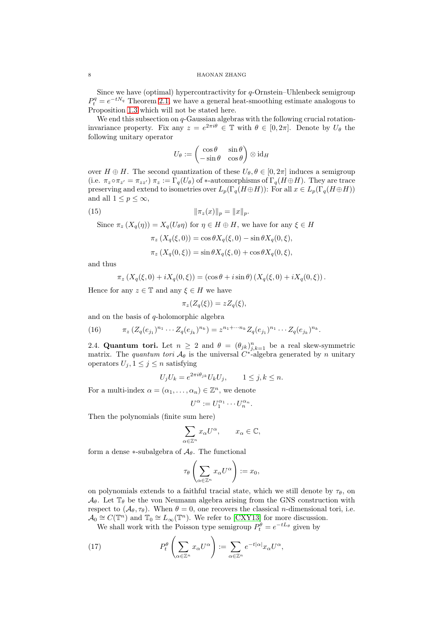Since we have (optimal) hypercontractivity for  $q$ -Ornstein–Uhlenbeck semigroup  $P_t^q = e^{-tN_q}$  Theorem [2.1,](#page-6-0) we have a general heat-smoothing estimate analogous to Proposition [1.3](#page-2-2) which will not be stated here.

We end this subsection on  $q$ -Gaussian algebras with the following crucial rotationinvariance property. Fix any  $z = e^{2\pi i \theta} \in \mathbb{T}$  with  $\theta \in [0, 2\pi]$ . Denote by  $U_{\theta}$  the following unitary operator

$$
U_{\theta}:=\begin{pmatrix} \cos\theta & \sin\theta \\ -\sin\theta & \cos\theta \end{pmatrix} \otimes \operatorname{id}_H
$$

over  $H \oplus H$ . The second quantization of these  $U_{\theta}, \theta \in [0, 2\pi]$  induces a semigroup (i.e.  $\pi_z \circ \pi_{z'} = \pi_{zz'}$ )  $\pi_z := \Gamma_q(U_\theta)$  of \*-automorphisms of  $\Gamma_q(H \oplus H)$ . They are trace preserving and extend to isometries over  $L_p(\Gamma_q(H\oplus H))$ : For all  $x \in L_p(\Gamma_q(H\oplus H))$ and all  $1 \leq p \leq \infty$ ,

(15) 
$$
\|\pi_z(x)\|_p = \|x\|_p.
$$

Since  $\pi_z(X_q(\eta)) = X_q(U_{\theta}\eta)$  for  $\eta \in H \oplus H$ , we have for any  $\xi \in H$ 

<span id="page-7-3"></span>
$$
\pi_z(X_q(\xi,0)) = \cos\theta X_q(\xi,0) - \sin\theta X_q(0,\xi),
$$
  

$$
\pi_z(X_q(0,\xi)) = \sin\theta X_q(\xi,0) + \cos\theta X_q(0,\xi),
$$

and thus

$$
\pi_z (X_q(\xi,0) + i X_q(0,\xi)) = (\cos \theta + i \sin \theta) (X_q(\xi,0) + i X_q(0,\xi)).
$$

Hence for any  $z \in \mathbb{T}$  and any  $\xi \in H$  we have

$$
\pi_z(Z_q(\xi)) = z Z_q(\xi),
$$

and on the basis of  $q$ -holomorphic algebra

<span id="page-7-1"></span>(16) 
$$
\pi_z (Z_q(e_{j_1})^{n_1} \cdots Z_q(e_{j_k})^{n_k}) = z^{n_1 + \cdots n_k} Z_q(e_{j_1})^{n_1} \cdots Z_q(e_{j_k})^{n_k}.
$$

<span id="page-7-0"></span>2.4. **Quantum tori.** Let  $n \geq 2$  and  $\theta = (\theta_{jk})_{j,k=1}^n$  be a real skew-symmetric matrix. The quantum tori  $\mathcal{A}_{\theta}$  is the universal C<sup>\*</sup>-algebra generated by n unitary operators  $U_j, 1 \leq j \leq n$  satisfying

$$
U_j U_k = e^{2\pi i \theta_{jk}} U_k U_j, \qquad 1 \le j, k \le n.
$$

For a multi-index  $\alpha = (\alpha_1, \dots, \alpha_n) \in \mathbb{Z}^n$ , we denote

$$
U^{\alpha} := U_1^{\alpha_1} \cdots U_n^{\alpha_n}.
$$

Then the polynomials (finite sum here)

$$
\sum_{\alpha \in \mathbb{Z}^n} x_{\alpha} U^{\alpha}, \qquad x_{\alpha} \in \mathbb{C},
$$

form a dense  $\ast$ -subalgebra of  $\mathcal{A}_{\theta}$ . The functional

$$
\tau_\theta\left(\sum_{\alpha\in\mathbb{Z}^n}x_\alpha U^\alpha\right):=x_0,
$$

on polynomials extends to a faithful tracial state, which we still denote by  $\tau_{\theta}$ , on  $\mathcal{A}_{\theta}$ . Let  $\mathbb{T}_{\theta}$  be the von Neumann algebra arising from the GNS construction with respect to  $(\mathcal{A}_{\theta}, \tau_{\theta})$ . When  $\theta = 0$ , one recovers the classical *n*-dimensional tori, i.e.  $\mathcal{A}_0 \cong C(\mathbb{T}^n)$  and  $\mathbb{T}_0 \cong L_\infty(\mathbb{T}^n)$ . We refer to  $\text{[CXY13]}$  for more discussion.

<span id="page-7-2"></span>We shall work with the Poisson type semigroup  $P_t^{\theta} = e^{-tL_{\theta}}$  given by

(17) 
$$
P_t^{\theta}\left(\sum_{\alpha\in\mathbb{Z}^n}x_{\alpha}U^{\alpha}\right):=\sum_{\alpha\in\mathbb{Z}^n}e^{-t|\alpha|}x_{\alpha}U^{\alpha},
$$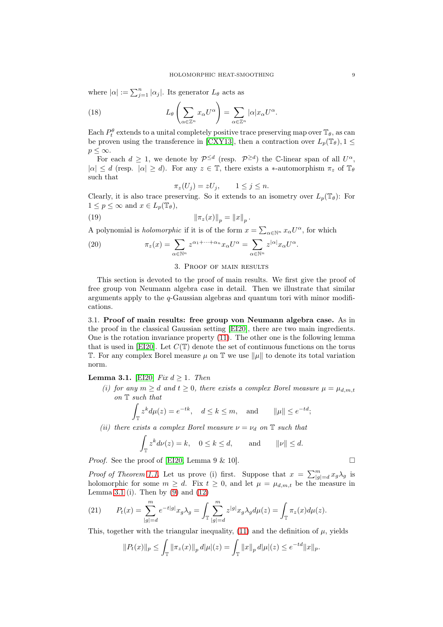where  $|\alpha| := \sum_{j=1}^n |\alpha_j|$ . Its generator  $L_{\theta}$  acts as

(18) 
$$
L_{\theta}\left(\sum_{\alpha\in\mathbb{Z}^n}x_{\alpha}U^{\alpha}\right)=\sum_{\alpha\in\mathbb{Z}^n}|\alpha|x_{\alpha}U^{\alpha}.
$$

Each  $P_t^{\theta}$  extends to a unital completely positive trace preserving map over  $\mathbb{T}_{\theta}$ , as can be proven using the transference in [\[CXY13\]](#page-10-14), then a contraction over  $L_p(\mathbb{T}_{\theta}), 1 \leq$  $p \leq \infty$ .

For each  $d \geq 1$ , we denote by  $\mathcal{P}^{\leq d}$  (resp.  $\mathcal{P}^{\geq d}$ ) the C-linear span of all  $U^{\alpha}$ ,  $|\alpha| \leq d$  (resp.  $|\alpha| \geq d$ ). For any  $z \in \mathbb{T}$ , there exists a \*-automorphism  $\pi_z$  of  $\mathbb{T}_{\theta}$ such that

<span id="page-8-4"></span><span id="page-8-3"></span>
$$
\pi_z(U_j) = zU_j, \qquad 1 \le j \le n.
$$

Clearly, it is also trace preserving. So it extends to an isometry over  $L_p(\mathbb{T}_{\theta})$ : For  $1 \leq p \leq \infty$  and  $x \in L_p(\mathbb{T}_{\theta}),$ 

(19) 
$$
\|\pi_z(x)\|_p = \|x\|_p.
$$

A polynomial is *holomorphic* if it is of the form  $x = \sum_{\alpha \in \mathbb{N}^n} x_{\alpha} U^{\alpha}$ , for which

(20) 
$$
\pi_z(x) = \sum_{\alpha \in \mathbb{N}^n} z^{\alpha_1 + \dots + \alpha_n} x_{\alpha} U^{\alpha} = \sum_{\alpha \in \mathbb{N}^n} z^{|\alpha|} x_{\alpha} U^{\alpha}.
$$

## <span id="page-8-2"></span>3. Proof of main results

This section is devoted to the proof of main results. We first give the proof of free group von Neumann algebra case in detail. Then we illustrate that similar arguments apply to the  $q$ -Gaussian algebras and quantum tori with minor modifications.

3.1. Proof of main results: free group von Neumann algebra case. As in the proof in the classical Gaussian setting [\[EI20\]](#page-10-0), there are two main ingredients. One is the rotation invariance property [\(11\)](#page-4-0). The other one is the following lemma that is used in [\[EI20\]](#page-10-0). Let  $C(\mathbb{T})$  denote the set of continuous functions on the torus T. For any complex Borel measure  $\mu$  on T we use  $\|\mu\|$  to denote its total variation norm.

<span id="page-8-0"></span>**Lemma 3.1.** [\[EI20\]](#page-10-0) Fix  $d \geq 1$ . Then

(i) for any  $m \geq d$  and  $t \geq 0$ , there exists a complex Borel measure  $\mu = \mu_{d,m,t}$ on T such that

$$
\int_{\mathbb{T}} z^k d\mu(z) = e^{-tk}, \quad d \le k \le m, \quad \text{and} \quad \|\mu\| \le e^{-td};
$$

(ii) there exists a complex Borel measure  $\nu = \nu_d$  on  $\mathbb T$  such that

$$
\int_{\mathbb{T}} z^k d\nu(z) = k, \quad 0 \le k \le d, \quad \text{and} \quad \|\nu\| \le d.
$$

*Proof.* See the proof of [\[EI20,](#page-10-0) Lemma 9 & 10].

*Proof of Theorem [1.1.](#page-2-0)* Let us prove (i) first. Suppose that  $x = \sum_{|g|=d}^{m} x_g \lambda_g$  is holomorphic for some  $m \geq d$ . Fix  $t \geq 0$ , and let  $\mu = \mu_{d,m,t}$  be the measure in Lemma [3.1](#page-8-0) (i). Then by  $(9)$  and  $(12)$ 

<span id="page-8-1"></span>(21) 
$$
P_t(x) = \sum_{|g|=d}^m e^{-t|g|} x_g \lambda_g = \int_{\mathbb{T}} \sum_{|g|=d}^m z^{|g|} x_g \lambda_g d\mu(z) = \int_{\mathbb{T}} \pi_z(x) d\mu(z).
$$

This, together with the triangular inequality, [\(11\)](#page-4-0) and the definition of  $\mu$ , yields

$$
||P_t(x)||_p \leq \int_{\mathbb{T}} ||\pi_z(x)||_p \, d|\mu|(z) = \int_{\mathbb{T}} ||x||_p \, d|\mu|(z) \leq e^{-td} ||x||_p.
$$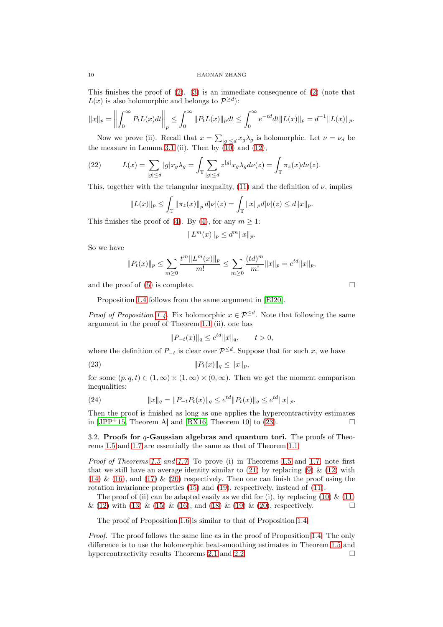This finishes the proof of [\(2\)](#page-2-5). [\(3\)](#page-2-6) is an immediate consequence of [\(2\)](#page-2-5) (note that  $L(x)$  is also holomorphic and belongs to  $\mathcal{P}^{\geq d}$ ):

$$
||x||_p = \left\| \int_0^\infty P_t L(x) dt \right\|_p \le \int_0^\infty ||P_t L(x)||_p dt \le \int_0^\infty e^{-td} dt ||L(x)||_p = d^{-1} ||L(x)||_p.
$$

Now we prove (ii). Recall that  $x = \sum_{|g| \le d} x_g \lambda_g$  is holomorphic. Let  $\nu = \nu_d$  be the measure in Lemma [3.1](#page-8-0) (ii). Then by  $(10)$  and  $(12)$ ,

<span id="page-9-1"></span>(22) 
$$
L(x) = \sum_{|g| \le d} |g| x_g \lambda_g = \int_{\mathbb{T}} \sum_{|g| \le d} z^{|g|} x_g \lambda_g d\nu(z) = \int_{\mathbb{T}} \pi_z(x) d\nu(z).
$$

This, together with the triangular inequality, [\(11\)](#page-4-0) and the definition of  $\nu$ , implies

$$
||L(x)||_p \leq \int_{\mathbb{T}} ||\pi_z(x)||_p \, d|\nu|(z) = \int_{\mathbb{T}} ||x||_p d|\nu|(z) \leq d||x||_p.
$$

This finishes the proof of [\(4\)](#page-2-7). By (4), for any  $m \geq 1$ :

$$
||L^m(x)||_p \le d^m ||x||_p.
$$

So we have

$$
||P_t(x)||_p \le \sum_{m\ge 0} \frac{t^m ||L^m(x)||_p}{m!} \le \sum_{m\ge 0} \frac{(td)^m}{m!} ||x||_p = e^{td} ||x||_p,
$$

and the proof of [\(5\)](#page-2-8) is complete.  $\square$ 

Proposition [1.4](#page-2-1) follows from the same argument in [\[EI20\]](#page-10-0).

*Proof of Proposition [1.4.](#page-2-1)* Fix holomorphic  $x \in \mathcal{P}^{\leq d}$ . Note that following the same argument in the proof of Theorem [1.1](#page-2-0) (ii), one has

<span id="page-9-0"></span>
$$
||P_{-t}(x)||_q \le e^{td} ||x||_q, \qquad t > 0,
$$

where the definition of  $P_{-t}$  is clear over  $\mathcal{P}^{\leq d}$ . Suppose that for such x, we have

(23) 
$$
||P_t(x)||_q \le ||x||_p,
$$

for some  $(p, q, t) \in (1, \infty) \times (1, \infty) \times (0, \infty)$ . Then we get the moment comparison inequalities:

(24) 
$$
||x||_q = ||P_{-t}P_t(x)||_q \le e^{td}||P_t(x)||_q \le e^{td}||x||_p.
$$

Then the proof is finished as long as one applies the hypercontractivity estimates in  $[JPP+15$ , Theorem A] and  $[RX16$ , Theorem 10 to [\(23\)](#page-9-0).

3.2. Proofs for  $q$ -Gaussian algebras and quantum tori. The proofs of Theorems [1.5](#page-2-9) and [1.7](#page-3-3) are essentially the same as that of Theorem [1.1.](#page-2-0)

Proof of Theorems [1.5](#page-2-9) and [1.7.](#page-3-3) To prove (i) in Theorems 1.5 and [1.7,](#page-3-3) note first that we still have an average identity similar to  $(21)$  by replacing  $(9)$  &  $(12)$  with  $(14)$  &  $(16)$ , and  $(17)$  &  $(20)$  respectively. Then one can finish the proof using the rotation invariance properties [\(15\)](#page-7-3) and [\(19\)](#page-8-3), respectively, instead of [\(11\)](#page-4-0).

The proof of (ii) can be adapted easily as we did for (i), by replacing [\(10\)](#page-4-3)  $\&$  [\(11\)](#page-4-0) & [\(12\)](#page-4-2) with [\(13\)](#page-6-2) & [\(15\)](#page-7-3) & [\(16\)](#page-7-1), and [\(18\)](#page-8-4) & [\(19\)](#page-8-3) & [\(20\)](#page-8-2), respectively.

The proof of Proposition [1.6](#page-3-4) is similar to that of Proposition [1.4.](#page-2-1)

Proof. The proof follows the same line as in the proof of Proposition [1.4.](#page-2-1) The only difference is to use the holomorphic heat-smoothing estimates in Theorem [1.5](#page-2-9) and hypercontractivity results Theorems [2.1](#page-6-0) and [2.2.](#page-6-3)  $\Box$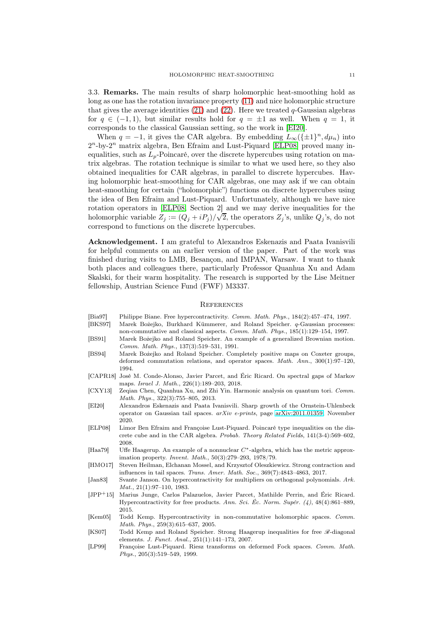<span id="page-10-2"></span>3.3. Remarks. The main results of sharp holomorphic heat-smoothing hold as long as one has the rotation invariance property [\(11\)](#page-4-0) and nice holomorphic structure that gives the average identities  $(21)$  and  $(22)$ . Here we treated q-Gaussian algebras for  $q \in (-1, 1)$ , but similar results hold for  $q = \pm 1$  as well. When  $q = 1$ , it corresponds to the classical Gaussian setting, so the work in [\[EI20\]](#page-10-0).

When  $q = -1$ , it gives the CAR algebra. By embedding  $L_{\infty}(\{\pm 1\}^n, d\mu_n)$  into  $2^n$ -by- $2^n$  matrix algebra, Ben Efraim and Lust-Piquard [\[ELP08\]](#page-10-15) proved many inequalities, such as  $L_p$ -Poincaré, over the discrete hypercubes using rotation on matrix algebras. The rotation technique is similar to what we used here, so they also obtained inequalities for CAR algebras, in parallel to discrete hypercubes. Having holomorphic heat-smoothing for CAR algebras, one may ask if we can obtain heat-smoothing for certain ("holomorphic") functions on discrete hypercubes using the idea of Ben Efraim and Lust-Piquard. Unfortunately, although we have nice rotation operators in [\[ELP08,](#page-10-15) Section 2] and we may derive inequalities for the holomorphic variable  $Z_j := (Q_j + iP_j)/\sqrt{2}$ , the operators  $Z_j$ 's, unlike  $Q_j$ 's, do not correspond to functions on the discrete hypercubes.

Acknowledgement. I am grateful to Alexandros Eskenazis and Paata Ivanisvili for helpful comments on an earlier version of the paper. Part of the work was finished during visits to LMB, Besançon, and IMPAN, Warsaw. I want to thank both places and colleagues there, particularly Professor Quanhua Xu and Adam Skalski, for their warm hospitality. The research is supported by the Lise Meitner fellowship, Austrian Science Fund (FWF) M3337.

### **REFERENCES**

- <span id="page-10-13"></span>[Bia97] Philippe Biane. Free hypercontractivity. Comm. Math. Phys., 184(2):457–474, 1997.
- <span id="page-10-11"></span>[BKS97] Marek Bożejko, Burkhard Kümmerer, and Roland Speicher. q-Gaussian processes: non-commutative and classical aspects. Comm. Math. Phys., 185(1):129–154, 1997.
- <span id="page-10-9"></span>[BS91] Marek Bożejko and Roland Speicher. An example of a generalized Brownian motion. Comm. Math. Phys., 137(3):519–531, 1991.
- <span id="page-10-10"></span>[BS94] Marek Bożejko and Roland Speicher. Completely positive maps on Coxeter groups, deformed commutation relations, and operator spaces. Math. Ann., 300(1):97–120, 1994.
- <span id="page-10-3"></span>[CAPR18] José M. Conde-Alonso, Javier Parcet, and Éric Ricard. On spectral gaps of Markov maps. Israel J. Math., 226(1):189–203, 2018.
- <span id="page-10-14"></span>[CXY13] Zeqian Chen, Quanhua Xu, and Zhi Yin. Harmonic analysis on quantum tori. Comm. Math. Phys., 322(3):755–805, 2013.
- <span id="page-10-0"></span>[EI20] Alexandros Eskenazis and Paata Ivanisvili. Sharp growth of the Ornstein-Uhlenbeck operator on Gaussian tail spaces. arXiv e-prints, page [arXiv:2011.01359,](http://arxiv.org/abs/2011.01359) November 2020.
- <span id="page-10-15"></span>[ELP08] Limor Ben Efraim and Françoise Lust-Piquard. Poincaré type inequalities on the discrete cube and in the CAR algebra. Probab. Theory Related Fields, 141(3-4):569–602, 2008.
- <span id="page-10-7"></span>[Haa79] Uffe Haagerup. An example of a nonnuclear C∗-algebra, which has the metric approximation property. Invent. Math., 50(3):279–293, 1978/79.
- <span id="page-10-1"></span>[HMO17] Steven Heilman, Elchanan Mossel, and Krzysztof Oleszkiewicz. Strong contraction and influences in tail spaces. Trans. Amer. Math. Soc., 369(7):4843–4863, 2017.
- <span id="page-10-5"></span>[Jan83] Svante Janson. On hypercontractivity for multipliers on orthogonal polynomials. Ark. Mat., 21(1):97–110, 1983.
- <span id="page-10-8"></span>[JPP+15] Marius Junge, Carlos Palazuelos, Javier Parcet, Mathilde Perrin, and Éric Ricard. Hypercontractivity for free products. Ann. Sci. Éc. Norm. Supér. (4), 48(4):861–889, 2015.
- <span id="page-10-4"></span>[Kem05] Todd Kemp. Hypercontractivity in non-commutative holomorphic spaces. Comm. Math. Phys., 259(3):615–637, 2005.
- <span id="page-10-6"></span>[KS07] Todd Kemp and Roland Speicher. Strong Haagerup inequalities for free  $\mathcal{R}-$ diagonal elements. J. Funct. Anal., 251(1):141–173, 2007.
- <span id="page-10-12"></span>[LP99] Françoise Lust-Piquard. Riesz transforms on deformed Fock spaces. Comm. Math. Phys., 205(3):519–549, 1999.